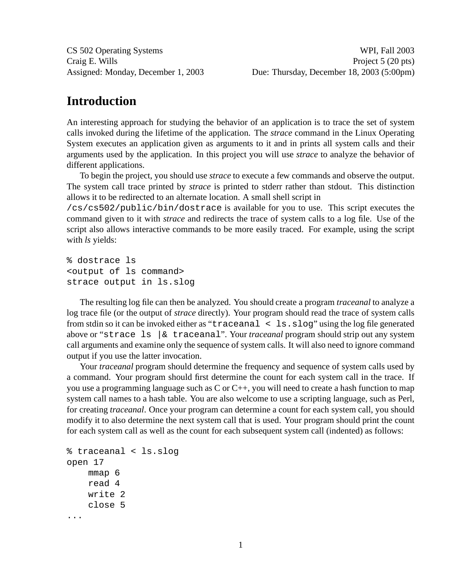## **Introduction**

An interesting approach for studying the behavior of an application is to trace the set of system calls invoked during the lifetime of the application. The *strace* command in the Linux Operating System executes an application given as arguments to it and in prints all system calls and their arguments used by the application. In this project you will use *strace* to analyze the behavior of different applications.

To begin the project, you should use *strace* to execute a few commands and observe the output. The system call trace printed by *strace* is printed to stderr rather than stdout. This distinction allows it to be redirected to an alternate location. A small shell script in

/cs/cs502/public/bin/dostrace is available for you to use. This script executes the command given to it with *strace* and redirects the trace of system calls to a log file. Use of the script also allows interactive commands to be more easily traced. For example, using the script with *ls* yields:

```
% dostrace ls
<output of ls command>
strace output in ls.slog
```
The resulting log file can then be analyzed. You should create a program *traceanal* to analyze a log trace file (or the output of *strace* directly). Your program should read the trace of system calls from stdin so it can be invoked either as "traceanal < ls.slog" using the log file generated above or "strace ls |& traceanal". Your *traceanal* program should strip out any system call arguments and examine only the sequence of system calls. It will also need to ignore command output if you use the latter invocation.

Your *traceanal* program should determine the frequency and sequence of system calls used by a command. Your program should first determine the count for each system call in the trace. If you use a programming language such as  $C$  or  $C_{++}$ , you will need to create a hash function to map system call names to a hash table. You are also welcome to use a scripting language, such as Perl, for creating *traceanal*. Once your program can determine a count for each system call, you should modify it to also determine the next system call that is used. Your program should print the count for each system call as well as the count for each subsequent system call (indented) as follows:

```
% traceanal < ls.slog
open 17
    mmap 6
    read 4
    write 2
    close 5
...
```